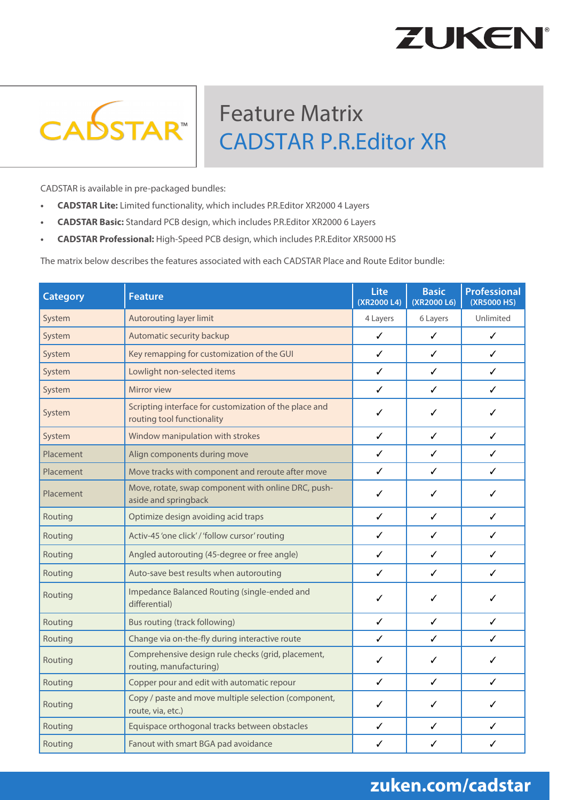## **ZUKEN**



## Feature Matrix CADSTAR P.R.Editor XR

CADSTAR is available in pre-packaged bundles:

- **• CADSTAR Lite:** Limited functionality, which includes P.R.Editor XR2000 4 Layers
- **• CADSTAR Basic:** Standard PCB design, which includes P.R.Editor XR2000 6 Layers
- **• CADSTAR Professional:** High-Speed PCB design, which includes P.R.Editor XR5000 HS

The matrix below describes the features associated with each CADSTAR Place and Route Editor bundle:

| <b>Category</b> | <b>Feature</b>                                                                       | Lite<br>(XR2000 L4) | <b>Basic</b><br>(XR2000 L6) | <b>Professional</b><br>(XR5000 HS) |
|-----------------|--------------------------------------------------------------------------------------|---------------------|-----------------------------|------------------------------------|
| System          | Autorouting layer limit                                                              | 4 Layers            | 6 Layers                    | Unlimited                          |
| System          | Automatic security backup                                                            | $\checkmark$        | ✓                           | ✓                                  |
| System          | Key remapping for customization of the GUI                                           | ✓                   | ✓                           | ✓                                  |
| System          | Lowlight non-selected items                                                          | ✓                   | $\checkmark$                | ✓                                  |
| System          | Mirror view                                                                          | ✓                   | ✓                           | ✓                                  |
| System          | Scripting interface for customization of the place and<br>routing tool functionality | ✓                   | ✓                           | ✓                                  |
| System          | Window manipulation with strokes                                                     | ✓                   | ✓                           | ✓                                  |
| Placement       | Align components during move                                                         | $\checkmark$        | ✓                           | ✓                                  |
| Placement       | Move tracks with component and reroute after move                                    | ✓                   | ✓                           | ✓                                  |
| Placement       | Move, rotate, swap component with online DRC, push-<br>aside and springback          | ✓                   | ✓                           | ✓                                  |
| Routing         | Optimize design avoiding acid traps                                                  | ✓                   | ✓                           | ✓                                  |
| Routing         | Activ-45 'one click' / 'follow cursor' routing                                       | ✓                   | ✓                           | ✓                                  |
| Routing         | Angled autorouting (45-degree or free angle)                                         | ✓                   | ✓                           | ✓                                  |
| Routing         | Auto-save best results when autorouting                                              | ✓                   | ✓                           | ✓                                  |
| Routing         | Impedance Balanced Routing (single-ended and<br>differential)                        | ✓                   | ✓                           | ✓                                  |
| Routing         | Bus routing (track following)                                                        | ✓                   | ✓                           | ✓                                  |
| Routing         | Change via on-the-fly during interactive route                                       | $\checkmark$        | ✓                           | ✓                                  |
| Routing         | Comprehensive design rule checks (grid, placement,<br>routing, manufacturing)        | ✓                   | ✓                           | ✓                                  |
| Routing         | Copper pour and edit with automatic repour                                           | $\checkmark$        | ✓                           | ✓                                  |
| Routing         | Copy / paste and move multiple selection (component,<br>route, via, etc.)            | ✓                   | ✓                           | ✓                                  |
| Routing         | Equispace orthogonal tracks between obstacles                                        | ✓                   | ✓                           | ✓                                  |
| Routing         | Fanout with smart BGA pad avoidance                                                  | ✓                   | ✓                           | ✓                                  |

## **zuken.com/cadstar**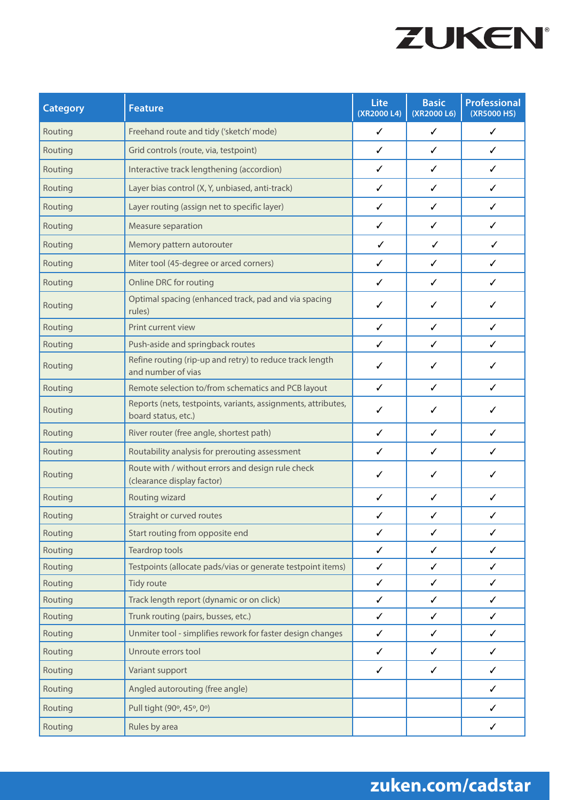

| <b>Category</b> | <b>Feature</b>                                                                       | Lite<br>(XR2000 L4) | <b>Basic</b><br>(XR2000 L6) | <b>Professional</b><br>(XR5000 HS) |
|-----------------|--------------------------------------------------------------------------------------|---------------------|-----------------------------|------------------------------------|
| Routing         | Freehand route and tidy ('sketch' mode)                                              | $\checkmark$        | $\checkmark$                | $\checkmark$                       |
| Routing         | Grid controls (route, via, testpoint)                                                | ✓                   | ✓                           | ✓                                  |
| Routing         | Interactive track lengthening (accordion)                                            | ✓                   | ✓                           | ✓                                  |
| Routing         | Layer bias control (X, Y, unbiased, anti-track)                                      | ✓                   | $\checkmark$                | ✓                                  |
| Routing         | Layer routing (assign net to specific layer)                                         | ✓                   | ✓                           | ✓                                  |
| Routing         | Measure separation                                                                   | $\checkmark$        | $\checkmark$                | ✓                                  |
| Routing         | Memory pattern autorouter                                                            | ✓                   | $\checkmark$                | ✓                                  |
| Routing         | Miter tool (45-degree or arced corners)                                              | ✓                   | ✓                           | ✓                                  |
| Routing         | Online DRC for routing                                                               | $\checkmark$        | $\checkmark$                | ✓                                  |
| Routing         | Optimal spacing (enhanced track, pad and via spacing<br>rules)                       | ✓                   | ✓                           | ✓                                  |
| Routing         | Print current view                                                                   | ✓                   | ✓                           | ✓                                  |
| Routing         | Push-aside and springback routes                                                     | $\checkmark$        | ✓                           | ✓                                  |
| Routing         | Refine routing (rip-up and retry) to reduce track length<br>and number of vias       | ✓                   | ✓                           | ✓                                  |
| Routing         | Remote selection to/from schematics and PCB layout                                   | $\checkmark$        | $\checkmark$                | ✓                                  |
| Routing         | Reports (nets, testpoints, variants, assignments, attributes,<br>board status, etc.) | ✓                   | ✓                           | ✓                                  |
| Routing         | River router (free angle, shortest path)                                             | ✓                   | ✓                           | ✓                                  |
| Routing         | Routability analysis for prerouting assessment                                       | ✓                   | ✓                           | ✓                                  |
| Routing         | Route with / without errors and design rule check<br>(clearance display factor)      | ✓                   | ✓                           | ✓                                  |
| Routing         | Routing wizard                                                                       | ✓                   | ✓                           | ✓                                  |
| Routing         | Straight or curved routes                                                            | $\checkmark$        | ✓                           | ✓                                  |
| Routing         | Start routing from opposite end                                                      | $\checkmark$        | $\checkmark$                | $\checkmark$                       |
| Routing         | Teardrop tools                                                                       | $\checkmark$        | $\checkmark$                | ✓                                  |
| Routing         | Testpoints (allocate pads/vias or generate testpoint items)                          | $\checkmark$        | $\checkmark$                | ✓                                  |
| Routing         | Tidy route                                                                           | $\checkmark$        | $\checkmark$                | ✓                                  |
| Routing         | Track length report (dynamic or on click)                                            | $\checkmark$        | $\checkmark$                | ✓                                  |
| Routing         | Trunk routing (pairs, busses, etc.)                                                  | $\checkmark$        | ✓                           | ✓                                  |
| Routing         | Unmiter tool - simplifies rework for faster design changes                           | $\checkmark$        | $\checkmark$                | ✓                                  |
| Routing         | Unroute errors tool                                                                  | $\checkmark$        | $\checkmark$                | ✓                                  |
| Routing         | Variant support                                                                      | $\checkmark$        | $\checkmark$                | $\checkmark$                       |
| Routing         | Angled autorouting (free angle)                                                      |                     |                             | ✓                                  |
| Routing         | Pull tight (90°, 45°, 0°)                                                            |                     |                             | ✓                                  |
| Routing         | Rules by area                                                                        |                     |                             | ✓                                  |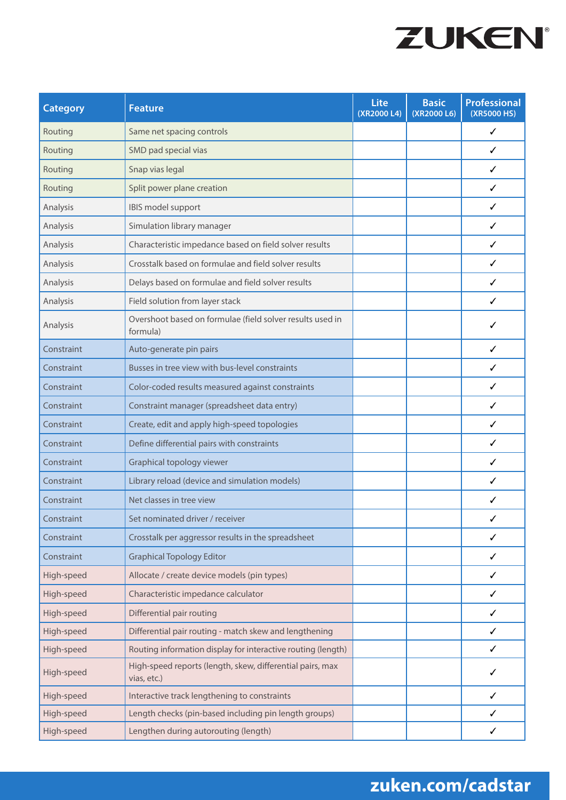

| <b>Category</b> | <b>Feature</b>                                                           | Lite<br>(XR2000 L4) | <b>Basic</b><br>(XR2000 L6) | <b>Professional</b><br>(XR5000 HS) |
|-----------------|--------------------------------------------------------------------------|---------------------|-----------------------------|------------------------------------|
| Routing         | Same net spacing controls                                                |                     |                             | ✓                                  |
| Routing         | SMD pad special vias                                                     |                     |                             | ✓                                  |
| Routing         | Snap vias legal                                                          |                     |                             | ✓                                  |
| Routing         | Split power plane creation                                               |                     |                             | ✓                                  |
| Analysis        | IBIS model support                                                       |                     |                             | ✓                                  |
| Analysis        | Simulation library manager                                               |                     |                             | ✓                                  |
| Analysis        | Characteristic impedance based on field solver results                   |                     |                             | ✓                                  |
| Analysis        | Crosstalk based on formulae and field solver results                     |                     |                             | ✓                                  |
| Analysis        | Delays based on formulae and field solver results                        |                     |                             | ✓                                  |
| Analysis        | Field solution from layer stack                                          |                     |                             | ✓                                  |
| Analysis        | Overshoot based on formulae (field solver results used in<br>formula)    |                     |                             | ✓                                  |
| Constraint      | Auto-generate pin pairs                                                  |                     |                             | ✓                                  |
| Constraint      | Busses in tree view with bus-level constraints                           |                     |                             | ✓                                  |
| Constraint      | Color-coded results measured against constraints                         |                     |                             | ✓                                  |
| Constraint      | Constraint manager (spreadsheet data entry)                              |                     |                             | ✓                                  |
| Constraint      | Create, edit and apply high-speed topologies                             |                     |                             | ✓                                  |
| Constraint      | Define differential pairs with constraints                               |                     |                             | ✓                                  |
| Constraint      | Graphical topology viewer                                                |                     |                             | ✓                                  |
| Constraint      | Library reload (device and simulation models)                            |                     |                             | ✓                                  |
| Constraint      | Net classes in tree view                                                 |                     |                             | ✓                                  |
| Constraint      | Set nominated driver / receiver                                          |                     |                             |                                    |
| Constraint      | Crosstalk per aggressor results in the spreadsheet                       |                     |                             | ✓                                  |
| Constraint      | <b>Graphical Topology Editor</b>                                         |                     |                             | ✓                                  |
| High-speed      | Allocate / create device models (pin types)                              |                     |                             | ✓                                  |
| High-speed      | Characteristic impedance calculator                                      |                     |                             | ✓                                  |
| High-speed      | Differential pair routing                                                |                     |                             | ✓                                  |
| High-speed      | Differential pair routing - match skew and lengthening                   |                     |                             | ✓                                  |
| High-speed      | Routing information display for interactive routing (length)             |                     |                             | ✓                                  |
| High-speed      | High-speed reports (length, skew, differential pairs, max<br>vias, etc.) |                     |                             | ✓                                  |
| High-speed      | Interactive track lengthening to constraints                             |                     |                             | ✓                                  |
| High-speed      | Length checks (pin-based including pin length groups)                    |                     |                             | ✓                                  |
| High-speed      | Lengthen during autorouting (length)                                     |                     |                             | ✓                                  |